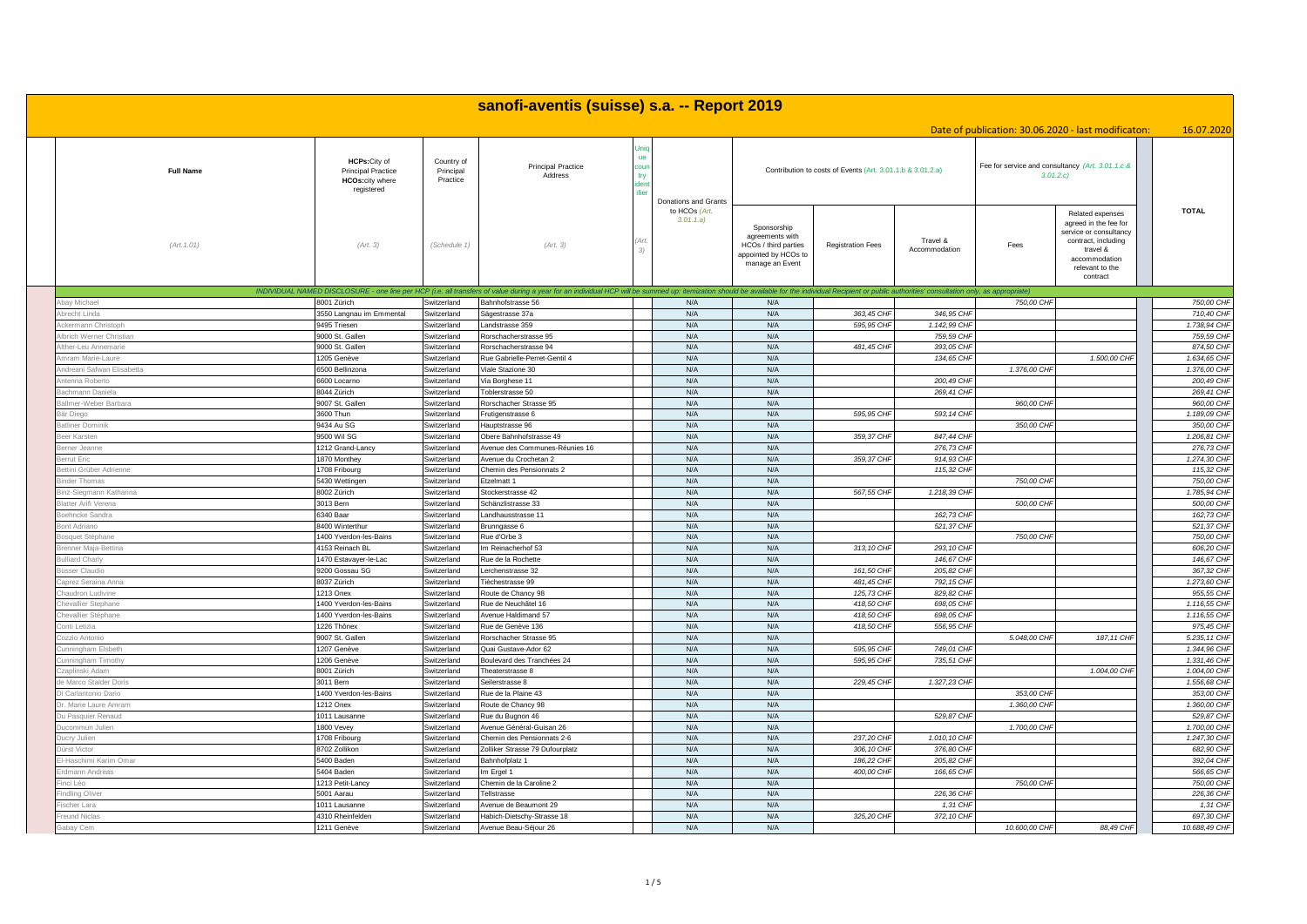|                                        |                                                                                    |                                     | sanofi-aventis (suisse) s.a. -- Report 2019                                                                                                                                                                                    |              |                                                    |                                                                                                   |                                                            |                            |                                                              |                                                                                                                                                        |                            |
|----------------------------------------|------------------------------------------------------------------------------------|-------------------------------------|--------------------------------------------------------------------------------------------------------------------------------------------------------------------------------------------------------------------------------|--------------|----------------------------------------------------|---------------------------------------------------------------------------------------------------|------------------------------------------------------------|----------------------------|--------------------------------------------------------------|--------------------------------------------------------------------------------------------------------------------------------------------------------|----------------------------|
|                                        |                                                                                    |                                     |                                                                                                                                                                                                                                |              |                                                    |                                                                                                   |                                                            |                            |                                                              | Date of publication: 30.06.2020 - last modificaton:                                                                                                    | 16.07.2020                 |
| <b>Full Name</b>                       | HCPs: City of<br><b>Principal Practice</b><br><b>HCOs:city where</b><br>registered | Country of<br>Principal<br>Practice | <b>Principal Practice</b><br>Address                                                                                                                                                                                           | ונומ:<br>fie |                                                    |                                                                                                   | Contribution to costs of Events (Art. 3.01.1.b & 3.01.2.a) |                            | Fee for service and consultancy (Art. 3.01.1.c &<br>3.01.2.c |                                                                                                                                                        |                            |
| (Art. 1.01)                            | (Art. 3)                                                                           | (Schedule 1)                        | (Art. 3)                                                                                                                                                                                                                       |              | Donations and Grants<br>to HCOs (Art.<br>3.01.1.a) | Sponsorship<br>agreements with<br>HCOs / third parties<br>appointed by HCOs to<br>manage an Event | <b>Registration Fees</b>                                   | Travel &<br>Accommodation  | Fees                                                         | Related expenses<br>agreed in the fee for<br>service or consultancy<br>contract, including<br>travel &<br>accommodation<br>relevant to the<br>contract | <b>TOTAL</b>               |
|                                        |                                                                                    |                                     | INDIVIDUAL NAMED DISCLOSURE - one line per HCP (i.e. all transfers of value during a year for an individual HCP will be summed up: itemization should be available for the individual Recipient or public authorities' consult |              |                                                    |                                                                                                   |                                                            |                            |                                                              |                                                                                                                                                        |                            |
| ay Michael                             | 8001 Zürich                                                                        | Switzerland                         | Bahnhofstrasse 56                                                                                                                                                                                                              |              | N/A                                                | N/A                                                                                               |                                                            |                            | 750,00 CHF                                                   |                                                                                                                                                        | 750,00 CHF                 |
| orecht Linda                           | 3550 Langnau im Emmental                                                           | Switzerland<br>Switzerland          | Sägestrasse 37a                                                                                                                                                                                                                |              | N/A                                                | N/A                                                                                               | 363,45 CHI                                                 | 346,95 CHI                 |                                                              |                                                                                                                                                        | 710,40 CH                  |
| kermann Christopl                      | 9495 Triesen<br>9000 St. Gallen                                                    |                                     | andstrasse 359                                                                                                                                                                                                                 |              | N/A<br>N/A                                         | N/A<br>N/A                                                                                        | 595,95 CHP                                                 | 1.142,99 CHI<br>759,59 CHP |                                                              |                                                                                                                                                        | 1.738,94 CHI<br>759,59 CHI |
| orich Werner Christian                 | 9000 St. Gallen                                                                    | Switzerland<br>Switzerland          | Rorschacherstrasse 95<br>Rorschacherstrasse 94                                                                                                                                                                                 |              | N/A                                                | N/A                                                                                               | 481,45 CH                                                  | 393,05 CHF                 |                                                              |                                                                                                                                                        | 874.50 CH                  |
| ther-Leu Annemarie<br>nram Marie-Laure | 205 Genève                                                                         | Switzerland                         | Rue Gabrielle-Perret-Gentil 4                                                                                                                                                                                                  |              | N/A                                                | N/A                                                                                               |                                                            | 134,65 CHI                 |                                                              | 1.500,00 CHF                                                                                                                                           | 1.634,65 CHI               |
| ndreani Safwan Elisabetta              | 6500 Bellinzona                                                                    | Switzerland                         | Viale Stazione 30                                                                                                                                                                                                              |              | N/A                                                | N/A                                                                                               |                                                            |                            | 1.376.00 CHI                                                 |                                                                                                                                                        | 1.376,00 CHI               |
| enna Roberto                           | 600 Locarno                                                                        | Switzerland                         | la Borghese 11                                                                                                                                                                                                                 |              | N/A                                                | N/A                                                                                               |                                                            | 200,49 CHI                 |                                                              |                                                                                                                                                        | 200,49 CH                  |
| achmann Daniela                        | 8044 Zürich                                                                        | Switzerland                         | oblerstrasse 50                                                                                                                                                                                                                |              | N/A                                                | N/A                                                                                               |                                                            | 269,41 CHF                 |                                                              |                                                                                                                                                        | 269,41 CHF                 |
| allmer-Weber Barbara                   | 9007 St. Gallen                                                                    | Switzerland                         | Rorschacher Strasse 95                                                                                                                                                                                                         |              | N/A                                                | N/A                                                                                               |                                                            |                            | 960,00 CHF                                                   |                                                                                                                                                        | 960,00 CHI                 |
| ir Dieac                               | 3600 Thun                                                                          | Switzerland                         | rutigenstrasse 6                                                                                                                                                                                                               |              | N/A                                                | N/A                                                                                               | 595.95 CHI                                                 | 593,14 CHI                 |                                                              |                                                                                                                                                        | 1.189.09 CHI               |
| tliner Dominik                         | 9434 Au SG                                                                         | Switzerland                         | lauptstrasse 96                                                                                                                                                                                                                |              | N/A                                                | N/A                                                                                               |                                                            |                            | 350,00 CHF                                                   |                                                                                                                                                        | 350,00 CHI                 |
| er Karsten                             | 9500 Wil SG                                                                        | Switzerland                         | Obere Bahnhofstrasse 49                                                                                                                                                                                                        |              | N/A                                                | N/A                                                                                               | 359,37 CHI                                                 | 847,44 CH                  |                                                              |                                                                                                                                                        | 1.206,81 CHI               |
| erner Jeanne                           | 212 Grand-Lancy                                                                    | Switzerland                         | Avenue des Communes-Réunies 16                                                                                                                                                                                                 |              | N/A                                                | N/A                                                                                               |                                                            | 276,73 CHI                 |                                                              |                                                                                                                                                        | 276,73 CHI                 |
| rrut Eric                              | 870 Monthey                                                                        | Switzerland                         | Avenue du Crochetan 2                                                                                                                                                                                                          |              | N/A                                                | N/A                                                                                               | 359,37 CHI                                                 | 914,93 CHI                 |                                                              |                                                                                                                                                        | 1.274,30 CHI               |
| ettini Grüber Adrienne                 | 708 Fribourg                                                                       | Switzerland                         | Chemin des Pensionnats 2                                                                                                                                                                                                       |              | N/A                                                | N/A                                                                                               |                                                            | 115,32 CHF                 |                                                              |                                                                                                                                                        | 115,32 CHF                 |
| nder Thomas                            | 5430 Wettingen                                                                     | Switzerland                         | tzelmatt 1                                                                                                                                                                                                                     |              | N/A                                                | N/A                                                                                               |                                                            |                            | 750,00 CHI                                                   |                                                                                                                                                        | 750,00 CH                  |
| nz-Siegmann Katharina                  | 8002 Zürich                                                                        | Switzerland                         | Stockerstrasse 42                                                                                                                                                                                                              |              | N/A                                                | N/A                                                                                               | 567,55 CHF                                                 | 1.218,39 CHF               |                                                              |                                                                                                                                                        | 1.785,94 CHF               |
| atter Arifi Verena                     | 3013 Bern                                                                          | Switzerland                         | Schänzlistrasse 33                                                                                                                                                                                                             |              | N/A                                                | N/A                                                                                               |                                                            |                            | 500,00 CHI                                                   |                                                                                                                                                        | 500,00 CH                  |
| jehncke Sandra                         | 6340 Baar                                                                          | Switzerland                         | andhausstrasse 11                                                                                                                                                                                                              |              | N/A                                                | N/A                                                                                               |                                                            | 162,73 CHP                 |                                                              |                                                                                                                                                        | 162,73 CHP                 |
| ont Adriano                            | 3400 Winterthur                                                                    | Switzerland                         | Brunngasse 6                                                                                                                                                                                                                   |              | N/A                                                | N/A                                                                                               |                                                            | 521,37 CHI                 |                                                              |                                                                                                                                                        | 521,37 CHI                 |
| osquet Stéphane                        | 400 Yverdon-les-Bains                                                              | Switzerland                         | Rue d'Orbe 3                                                                                                                                                                                                                   |              | N/A                                                | N/A                                                                                               |                                                            |                            | 750,00 CHF                                                   |                                                                                                                                                        | 750,00 CH                  |
| enner Maja-Bettin                      | 4153 Reinach BL                                                                    | Switzerland                         | m Reinacherhof 53                                                                                                                                                                                                              |              | N/A                                                | N/A                                                                                               | 313,10 CHI                                                 | 293, 10 CHF                |                                                              |                                                                                                                                                        | 606,20 CHI                 |
| lliard Charly                          | 470 Estavayer-le-Lac                                                               | Switzerland                         | Rue de la Rochette                                                                                                                                                                                                             |              | N/A                                                | N/A                                                                                               |                                                            | 146,67 CHI                 |                                                              |                                                                                                                                                        | 146,67 CHI                 |
| sser Claudio                           | 9200 Gossau SG                                                                     | Switzerland                         | erchenstrasse 32                                                                                                                                                                                                               |              | N/A                                                | N/A                                                                                               | 161,50 CHI                                                 | 205,82 CHI                 |                                                              |                                                                                                                                                        | 367,32 CHI                 |
| aprez Seraina Anna                     | 3037 Zürich                                                                        | Switzerland                         | ièchestrasse 99                                                                                                                                                                                                                |              | N/A                                                | N/A                                                                                               | 481.45 CHI                                                 | 792, 15 CHI                |                                                              |                                                                                                                                                        | 1.273.60 CHI               |
| audron Ludivine                        | 213 Onex                                                                           | Switzerland                         | Route de Chancy 98                                                                                                                                                                                                             |              | N/A                                                | N/A                                                                                               | 125,73 CH                                                  | 829,82 CHI                 |                                                              |                                                                                                                                                        | 955,55 CHF                 |
| evallier Stephane                      | 400 Yverdon-les-Bains                                                              | witzerland                          | Rue de Neuchâtel 16                                                                                                                                                                                                            |              | N/A                                                | N/A                                                                                               | 418.50 CH                                                  | 698.05 CH                  |                                                              |                                                                                                                                                        | 1.116,55 CHI               |
| evallier Stéphane                      | 400 Yverdon-les-Bains                                                              | Switzerland                         | <b>Nenue Haldimand 57</b>                                                                                                                                                                                                      |              | N/A                                                | N/A                                                                                               | 418,50 CH                                                  | 698.05 CHI                 |                                                              |                                                                                                                                                        | 1.116,55 CHI               |
| onti Letizia                           | 226 Thônex                                                                         | Switzerland                         | Rue de Genève 136                                                                                                                                                                                                              |              | N/A                                                | N/A                                                                                               | 418,50 CHI                                                 | 556,95 CHP                 |                                                              |                                                                                                                                                        | 975,45 CH                  |
| ozzio Antonio                          | 9007 St. Gallen                                                                    | Switzerland                         | Rorschacher Strasse 95                                                                                                                                                                                                         |              | N/A                                                | N/A                                                                                               |                                                            |                            | 5.048,00 CHF                                                 | 187, 11 CHF                                                                                                                                            | 5.235, 11 CHI              |
| inningham Elsbeth                      | 207 Genève                                                                         | Switzerland                         | Quai Gustave-Ador 62                                                                                                                                                                                                           |              | N/A                                                | N/A                                                                                               | 595.95 CHI                                                 | 749.01 CHI                 |                                                              |                                                                                                                                                        | 1.344,96 CHI               |
| nningham Timothy                       | 206 Genève                                                                         | Switzerland                         | Boulevard des Tranchées 24                                                                                                                                                                                                     |              | N/A                                                | N/A                                                                                               | 595,95 CHP                                                 | 735,51 CHP                 |                                                              |                                                                                                                                                        | 1.331,46 CHI               |
| aplinski Adan                          | 3001 Zürich                                                                        | Switzerland                         | heaterstrasse 8                                                                                                                                                                                                                |              | N/A                                                | N/A                                                                                               |                                                            |                            |                                                              | 1.004,00 CHF                                                                                                                                           | 1.004,00 CHI               |
| e Marco Stalder Doris                  | 3011 Bern                                                                          | Switzerland                         | Seilerstrasse 8                                                                                                                                                                                                                |              | N/A                                                | N/A                                                                                               | 229,45 CHI                                                 | 1.327,23 CHF               |                                                              |                                                                                                                                                        | 1.556.68 CHF               |
| i Carlantonio Dario                    | 400 Yverdon-les-Bains                                                              | Switzerland                         | Rue de la Plaine 43                                                                                                                                                                                                            |              | N/A                                                | N/A                                                                                               |                                                            |                            | 353,00 CHF                                                   |                                                                                                                                                        | 353,00 CHI                 |
| Marie Laure Amran                      | 212 Onex                                                                           | Switzerland                         | Route de Chancy 98                                                                                                                                                                                                             |              | N/A                                                | N/A                                                                                               |                                                            | 529.87 CHI                 | 1.360,00 CHI                                                 |                                                                                                                                                        | 1.360,00 CHI               |
| Pasquier Renaud                        | 011 Lausanne<br>300 Vevey                                                          | Switzerland<br>Switzerland          | Rue du Bugnon 46<br>Venue Général-Guisan 26                                                                                                                                                                                    |              | N/A<br>N/A                                         | N/A<br>N/A                                                                                        |                                                            |                            | 1.700,00 CHF                                                 |                                                                                                                                                        | 529,87 CHI<br>1.700,00 CHI |
| ucommun Julien<br>ucry Julien          | 708 Fribourg                                                                       | Switzerland                         | Chemin des Pensionnats 2-6                                                                                                                                                                                                     |              | N/A                                                | N/A                                                                                               | 237,20 CHI                                                 | 1.010, 10 CHI              |                                                              |                                                                                                                                                        | 1.247,30 CHI               |
| irst Victor                            | 3702 Zollikon                                                                      | Switzerland                         | <b>Zolliker Strasse 79 Dufourplatz</b>                                                                                                                                                                                         |              | N/A                                                | N/A                                                                                               | 306, 10 CHI                                                | 376,80 CHI                 |                                                              |                                                                                                                                                        | 682,90 CHI                 |
| Haschimi Karim Omar                    | 5400 Baden                                                                         | Switzerland                         | Bahnhofplatz 1                                                                                                                                                                                                                 |              | N/A                                                | N/A                                                                                               | 186,22 CHI                                                 | 205,82 CHI                 |                                                              |                                                                                                                                                        | 392,04 CHI                 |
| dmann Andreas                          | 5404 Baden                                                                         | Switzerland                         | m Ergel 1                                                                                                                                                                                                                      |              | N/A                                                | N/A                                                                                               | 400,00 CHI                                                 | 166,65 CHI                 |                                                              |                                                                                                                                                        | 566.65 CHI                 |
| nci Léo                                | 1213 Petit-Lancy                                                                   | Switzerland                         | Chemin de la Caroline 2                                                                                                                                                                                                        |              | N/A                                                | N/A                                                                                               |                                                            |                            | 750,00 CHI                                                   |                                                                                                                                                        | 750,00 CHI                 |
| ndling Oliver                          | 5001 Aarau                                                                         | Switzerland                         | <b>Fellstrasse</b>                                                                                                                                                                                                             |              | N/A                                                | N/A                                                                                               |                                                            | 226,36 CHI                 |                                                              |                                                                                                                                                        | 226,36 CHI                 |
| scher Lara                             | 011 Lausanne                                                                       | Switzerland                         | Avenue de Beaumont 29                                                                                                                                                                                                          |              | N/A                                                | N/A                                                                                               |                                                            | 1,31 CHI                   |                                                              |                                                                                                                                                        | 1,31 CHI                   |
| eund Niclas                            | 4310 Rheinfelden                                                                   | Switzerland                         | labich-Dietschy-Strasse 18                                                                                                                                                                                                     |              | N/A                                                | N/A                                                                                               | 325,20 CHI                                                 | 372, 10 CHI                |                                                              |                                                                                                                                                        | 697,30 CH                  |
| abay Cem                               | 1211 Genève                                                                        | Switzerland                         | Avenue Beau-Séjour 26                                                                                                                                                                                                          |              | N/A                                                | N/A                                                                                               |                                                            |                            | 10.600,00 CHF                                                | 88,49 CHF                                                                                                                                              | 10.688,49 CHF              |
|                                        |                                                                                    |                                     |                                                                                                                                                                                                                                |              |                                                    |                                                                                                   |                                                            |                            |                                                              |                                                                                                                                                        |                            |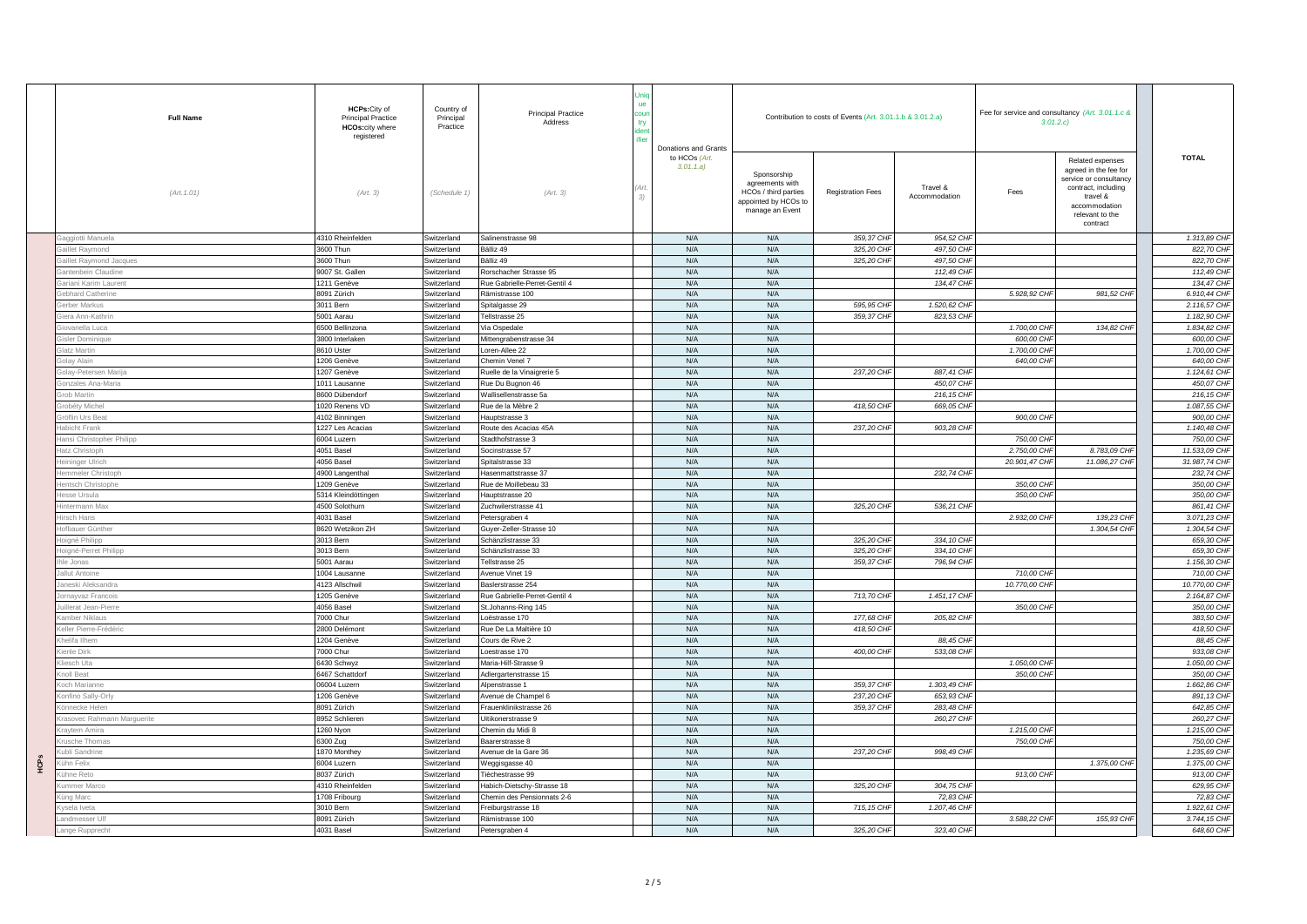|             | <b>Full Name</b>                          | HCPs: City of<br><b>Principal Practice</b><br><b>HCOs:city where</b><br>registered | Country of<br>Principal<br>Practice | <b>Principal Practice</b><br>Address             | ue<br><b>COU</b><br>try | Donations and Grants      |                                                                                                   | Contribution to costs of Events (Art. 3.01.1.b & 3.01.2.a) |                           | Fee for service and consultancy (Art. 3.01.1.c &<br>3.01.2.c |                                                                                                                                                        |                              |
|-------------|-------------------------------------------|------------------------------------------------------------------------------------|-------------------------------------|--------------------------------------------------|-------------------------|---------------------------|---------------------------------------------------------------------------------------------------|------------------------------------------------------------|---------------------------|--------------------------------------------------------------|--------------------------------------------------------------------------------------------------------------------------------------------------------|------------------------------|
|             | (Art. 1.01)                               | (Art. 3)                                                                           | (Schedule 1)                        | (Art. 3)                                         | 3)                      | to HCOs (Art.<br>3.01.1.a | Sponsorship<br>agreements with<br>HCOs / third parties<br>appointed by HCOs to<br>manage an Event | <b>Registration Fees</b>                                   | Travel &<br>Accommodation | Fees                                                         | Related expenses<br>agreed in the fee for<br>service or consultancy<br>contract, including<br>travel &<br>accommodation<br>relevant to the<br>contract | <b>TOTAL</b>                 |
|             | ggiotti Manuela                           | 4310 Rheinfelden                                                                   | Switzerland                         | Salinenstrasse 98                                |                         | N/A                       | N/A                                                                                               | 359,37 CHF                                                 | 954,52 CHF                |                                                              |                                                                                                                                                        | 1.313,89 CHF                 |
|             | aillet Raymond                            | 3600 Thun                                                                          | Switzerland                         | Bälliz 49                                        |                         | N/A                       | N/A                                                                                               | 325,20 CHF                                                 | 497,50 CHF                |                                                              |                                                                                                                                                        | 822,70 CHF                   |
|             | illet Raymond Jacques                     | 3600 Thun                                                                          | Switzerland                         | Bälliz 49                                        |                         | N/A                       | N/A                                                                                               | 325,20 CHF                                                 | 497,50 CHF                |                                                              |                                                                                                                                                        | 822,70 CHF                   |
|             | antenbein Claudine                        | 9007 St. Gallen                                                                    | Switzerland                         | Rorschacher Strasse 95                           |                         | N/A                       | N/A                                                                                               |                                                            | 112,49 CHI                |                                                              |                                                                                                                                                        | 112,49 CHF                   |
|             | triani Karim Laurent                      | 211 Genève                                                                         | Switzerland                         | Rue Gabrielle-Perret-Gentil 4                    |                         | N/A                       | N/A                                                                                               |                                                            | 134,47 CHF                |                                                              |                                                                                                                                                        | 134,47 CHF                   |
|             | bhard Catherine                           | 8091 Zürich                                                                        | Switzerland                         | Rämistrasse 100                                  |                         | N/A                       | N/A                                                                                               |                                                            |                           | 5.928,92 CHF                                                 | 981,52 CHF                                                                                                                                             | 6.910,44 CHF                 |
|             | erber Markus                              | 3011 Bern                                                                          | Switzerland                         | Spitalgasse 29                                   |                         | N/A                       | N/A                                                                                               | 595.95 CHF                                                 | 1.520,62 CHF              |                                                              |                                                                                                                                                        | 2.116,57 CHF                 |
|             | era Ann-Kathri                            | 5001 Aarau                                                                         | Switzerland                         | Tellstrasse 25                                   |                         | N/A                       | N/A                                                                                               | 359,37 CHF                                                 | 823,53 CHF                |                                                              |                                                                                                                                                        | 1.182,90 CHF                 |
|             | iovanella Luca                            | 6500 Bellinzona                                                                    | Switzerland                         | Via Ospedale                                     |                         | N/A                       | N/A                                                                                               |                                                            |                           | 1,700.00 CHF                                                 | 134.82 CHF                                                                                                                                             | 1.834,82 CHF                 |
|             | sler Dominique                            | 3800 Interlaken                                                                    | Switzerland                         | Mittengrabenstrasse 34                           |                         | N/A                       | N/A                                                                                               |                                                            |                           | 600,00 CHF                                                   |                                                                                                                                                        | 600,00 CHF                   |
|             | atz Martin                                | 8610 Uster                                                                         | Switzerland                         | Loren-Allee 22                                   |                         | N/A                       | N/A                                                                                               |                                                            |                           | 1,700.00 CHF                                                 |                                                                                                                                                        | 1,700,00 CHF                 |
|             | olay Alain                                | 206 Genève                                                                         | Switzerland                         | Chemin Venel 7                                   |                         | N/A                       | N/A                                                                                               |                                                            |                           | 640,00 CHF                                                   |                                                                                                                                                        | 640,00 CHF                   |
|             | olay-Petersen Marija                      | 207 Genève                                                                         | Switzerland                         | Ruelle de la Vinaigrerie 5                       |                         | N/A                       | N/A                                                                                               | 237,20 CHF                                                 | 887,41 CHF                |                                                              |                                                                                                                                                        | 1.124,61 CHF                 |
|             | onzales Ana-Maria                         | 011 Lausanne                                                                       | Switzerland                         | Rue Du Bugnon 46                                 |                         | N/A                       | N/A                                                                                               |                                                            | 450.07 CHF                |                                                              |                                                                                                                                                        | 450.07 CHF                   |
|             | ob Martin                                 | 600 Dübendorf                                                                      | Switzerland                         | Wallisellenstrasse 5a                            |                         | N/A                       | N/A                                                                                               |                                                            | 216, 15 CHF               |                                                              |                                                                                                                                                        | 216,15 CHF                   |
|             | obéty Michel                              | 020 Renens VD                                                                      | witzerland                          | Rue de la Mèbre 2                                |                         | N/A                       | N/A                                                                                               | 418,50 CHF                                                 | 669.05 CHF                |                                                              |                                                                                                                                                        | 1.087.55 CHF                 |
|             | röflin Urs Beat                           | 4102 Binningen                                                                     | Switzerland                         | Hauptstrasse 3                                   |                         | N/A                       | N/A                                                                                               |                                                            |                           | 900,00 CHF                                                   |                                                                                                                                                        | 900,00 CHF                   |
|             | labicht Frank                             | 227 Les Acacias                                                                    | Switzerland                         | Route des Acacias 45A                            |                         | N/A                       | N/A                                                                                               | 237,20 CHF                                                 | 903,28 CHF                |                                                              |                                                                                                                                                        | 1.140,48 CHF                 |
|             | ansi Christopher Philipp                  | 6004 Luzern                                                                        | Switzerland                         | Stadthofstrasse 3                                |                         | N/A                       | N/A                                                                                               |                                                            |                           | 750,00 CHF                                                   |                                                                                                                                                        | 750,00 CHF                   |
|             | atz Christopl                             | 4051 Basel                                                                         | Switzerland                         | Socinstrasse 57                                  |                         | N/A                       | N/A                                                                                               |                                                            |                           | 2.750,00 CHF                                                 | 8.783,09 CHF                                                                                                                                           | 11.533,09 CHF                |
|             | ininger Ulrich                            | 1056 Basel                                                                         | Switzerland                         | Spitalstrasse 33                                 |                         | N/A                       | N/A                                                                                               |                                                            |                           | 20.901,47 CHF                                                | 11.086,27 CHF                                                                                                                                          | 31,987,74 CHF                |
|             | mmeler Christopl                          | 4900 Langentha                                                                     | Switzerland                         | Hasenmattstrasse 37                              |                         | N/A                       | N/A                                                                                               |                                                            | 232,74 CHF                |                                                              |                                                                                                                                                        | 232,74 CHF                   |
|             | entsch Christophe                         | 209 Genève                                                                         | Switzerland                         | Rue de Moillebeau 33                             |                         | N/A                       | N/A                                                                                               |                                                            |                           | 350,00 CHF                                                   |                                                                                                                                                        | 350,00 CHF                   |
|             | esse Ursula                               | 5314 Kleindöttingen                                                                | Switzerland                         | Hauptstrasse 20                                  |                         | N/A                       | N/A                                                                                               |                                                            |                           | 350,00 CHF                                                   |                                                                                                                                                        | 350,00 CHF                   |
|             | termann Max                               | 500 Solothurn                                                                      | witzerland                          | Zuchwilerstrasse 41                              |                         | N/A                       | N/A                                                                                               | 325,20 CHF                                                 | 536,21 CHF                |                                                              |                                                                                                                                                        | 861.41 CHF                   |
|             | rsch Hans                                 | 4031 Basel                                                                         | witzerland                          | Petersgraben 4                                   |                         | N/A                       | N/A                                                                                               |                                                            |                           | 2.932,00 CHF                                                 | 139,23 CHF                                                                                                                                             | 3.071,23 CHF                 |
|             | lofbauer Günthe                           | 8620 Wetzikon ZH                                                                   | Switzerland                         | Guyer-Zeller-Strasse 10                          |                         | N/A                       | N/A                                                                                               |                                                            |                           |                                                              | 1.304,54 CHF                                                                                                                                           | 1.304,54 CHF                 |
|             | oigné Philipp                             | 3013 Bern                                                                          | Switzerland                         | Schänzlistrasse 33                               |                         | N/A                       | N/A                                                                                               | 325,20 CHF                                                 | 334, 10 CHF               |                                                              |                                                                                                                                                        | 659,30 CHF                   |
|             | oigné-Perret Philipp                      | 3013 Bern                                                                          | Switzerland                         | Schänzlistrasse 33                               |                         | N/A                       | N/A                                                                                               | 325.20 CHF                                                 | 334, 10 CHF               |                                                              |                                                                                                                                                        | 659,30 CHF                   |
|             | e Jonas                                   | 5001 Aarau                                                                         | Switzerland                         | Tellstrasse 25                                   |                         | N/A                       | N/A                                                                                               | 359,37 CHF                                                 | 796,94 CHF                |                                                              |                                                                                                                                                        | 1.156,30 CHF                 |
|             | <b>Illut Antoine</b>                      | 004 Lausanne                                                                       | Switzerland                         | Avenue Vinet 19                                  |                         | N/A                       | N/A                                                                                               |                                                            |                           | 710,00 CHF                                                   |                                                                                                                                                        | 710,00 CHF                   |
|             | neski Aleksandra                          | 4123 Allschwil                                                                     | Switzerland                         | Baslerstrasse 254                                |                         | N/A                       | N/A                                                                                               |                                                            |                           | 10.770,00 CHF                                                |                                                                                                                                                        | 10.770,00 CHF                |
|             | mayyaz Francoi                            | 205 Genève                                                                         | Switzerland                         | Rue Gabrielle-Perret-Gentil 4                    |                         | N/A                       | N/A                                                                                               | 713,70 CHF                                                 | 1.451,17 CHF              |                                                              |                                                                                                                                                        | 2.164,87 CHF                 |
|             | illerat Jean-Pierre                       | 4056 Basel                                                                         | Switzerland                         | St.Johanns-Ring 145                              |                         | N/A                       | N/A                                                                                               |                                                            |                           | 350,00 CHF                                                   |                                                                                                                                                        | 350.00 CHF                   |
|             | nber Niklaus                              | '000 Chur                                                                          | Switzerland                         | Loëstrasse 170                                   |                         | N/A<br>N/A                | N/A<br>N/A                                                                                        | 177,68 CHF<br>418.50 CHF                                   | 205,82 CHF                |                                                              |                                                                                                                                                        | 383,50 CHF<br>418.50 CHF     |
|             | eller Pierre-Frédério                     | 2800 Delémont                                                                      | Switzerland                         | Rue De La Maltière 10                            |                         |                           |                                                                                                   |                                                            |                           |                                                              |                                                                                                                                                        |                              |
|             | elifa Ilhem                               | 204 Genève                                                                         | Switzerland                         | Cours de Rive 2                                  |                         | N/A<br>N/A                | N/A<br>N/A                                                                                        |                                                            | 88,45 CHI                 |                                                              |                                                                                                                                                        | 88,45 CHF                    |
|             | enle Dirk                                 | '000 Chur                                                                          | Switzerland                         | oestrasse 170                                    |                         |                           |                                                                                                   | 400,00 CHI                                                 | 533,08 CH                 |                                                              |                                                                                                                                                        | 933,08 CHF                   |
|             | esch Uta                                  | 6430 Schwyz                                                                        | Switzerland                         | Maria-Hilf-Strasse 9                             |                         | N/A<br>N/A                | N/A                                                                                               |                                                            |                           | 1.050,00 CHF<br>350,00 CHF                                   |                                                                                                                                                        | 1.050,00 CHF<br>350,00 CHF   |
|             | oll Beat<br>ch Marianne                   | 6467 Schattdorf<br>06004 Luzern                                                    | witzerland                          | Adlergartenstrasse 15                            |                         | N/A                       | N/A<br>N/A                                                                                        | 359,37 CHF                                                 | 1.303,49 CHF              |                                                              |                                                                                                                                                        | 1.662,86 CHF                 |
|             |                                           |                                                                                    | Switzerland                         | Alpenstrasse 1                                   |                         |                           |                                                                                                   |                                                            |                           |                                                              |                                                                                                                                                        |                              |
|             | onfino Sally-Or<br>innecke Heler          | 206 Genève<br>3091 Zürich                                                          | Switzerland<br>Switzerland          | Avenue de Champel 6<br>Frauenklinikstrasse 26    |                         | N/A<br>N/A                | N/A<br>N/A                                                                                        | 237,20 CHF<br>359,37 CHF                                   | 653,93 CHF<br>283.48 CHF  |                                                              |                                                                                                                                                        | 891,13 CHF<br>642.85 CHF     |
|             |                                           |                                                                                    |                                     |                                                  |                         |                           |                                                                                                   |                                                            |                           |                                                              |                                                                                                                                                        |                              |
|             | asovec Rahmann Marguerite<br>ravtem Amira | 3952 Schlieren<br>260 Nvon                                                         | Switzerland<br>Switzerland          | Uitikonerstrasse 9<br>Chemin du Midi 8           |                         | N/A<br>N/A                | N/A<br>N/A                                                                                        |                                                            | 260,27 CHF                | 1.215.00 CHF                                                 |                                                                                                                                                        | 260,27 CHF<br>1.215.00 CHF   |
|             |                                           |                                                                                    |                                     | Baarerstrasse 8                                  |                         | N/A                       | N/A                                                                                               |                                                            |                           | 750,00 CHF                                                   |                                                                                                                                                        | 750,00 CHF                   |
|             | rusche Thomas                             | 6300 Zug                                                                           | Switzerland                         |                                                  |                         |                           | N/A                                                                                               |                                                            | 998,49 CHF                |                                                              |                                                                                                                                                        |                              |
|             | ubli Sandrine<br>ihn Felix                | 1870 Monthey<br>6004 Luzern                                                        | Switzerland<br>Switzerland          | Avenue de la Gare 36                             |                         | N/A<br>N/A                | N/A                                                                                               | 237,20 CHF                                                 |                           |                                                              | 1.375,00 CHF                                                                                                                                           | 1.235,69 CHF<br>1.375,00 CHF |
| <b>HCPS</b> |                                           |                                                                                    |                                     | Weggisgasse 40                                   |                         |                           |                                                                                                   |                                                            |                           |                                                              |                                                                                                                                                        |                              |
|             | hne Ret<br>nmer Marco                     | 8037 Zürich<br>4310 Rheinfelden                                                    | Switzerland<br>Switzerland          | Tièchestrasse 99<br>Habich-Dietschy-Strasse 18   |                         | N/A<br>N/A                | N/A<br>N/A                                                                                        | 325,20 CHF                                                 | 304.75 CHF                | 913,00 CHF                                                   |                                                                                                                                                        | 913,00 CHF<br>629.95 CHF     |
|             |                                           |                                                                                    |                                     |                                                  |                         |                           | N/A                                                                                               |                                                            |                           |                                                              |                                                                                                                                                        | 72,83 CHF                    |
|             | ng Marc<br>sela Iveta                     | 708 Fribourg<br>3010 Bern                                                          | Switzerland<br>Switzerland          | Chemin des Pensionnats 2-6<br>Freiburgstrasse 18 |                         | N/A<br>N/A                | N/A                                                                                               | 715, 15 CHF                                                | 72,83 CHF<br>1.207,46 CHF |                                                              |                                                                                                                                                        | 1.922,61 CHF                 |
|             | andmesser Ulf                             | 8091 Zürich                                                                        | Switzerland                         | Rämistrasse 100                                  |                         | N/A                       | N/A                                                                                               |                                                            |                           | 3.588,22 CHF                                                 | 155,93 CHF                                                                                                                                             | 3.744,15 CHF                 |
|             |                                           |                                                                                    |                                     |                                                  |                         |                           |                                                                                                   |                                                            |                           |                                                              |                                                                                                                                                        |                              |
|             | nge Rupprecht                             | 4031 Basel                                                                         | Switzerland                         | Petersgraben 4                                   |                         | N/A                       | N/A                                                                                               | 325,20 CHF                                                 | 323,40 CHF                |                                                              |                                                                                                                                                        | 648,60 CHF                   |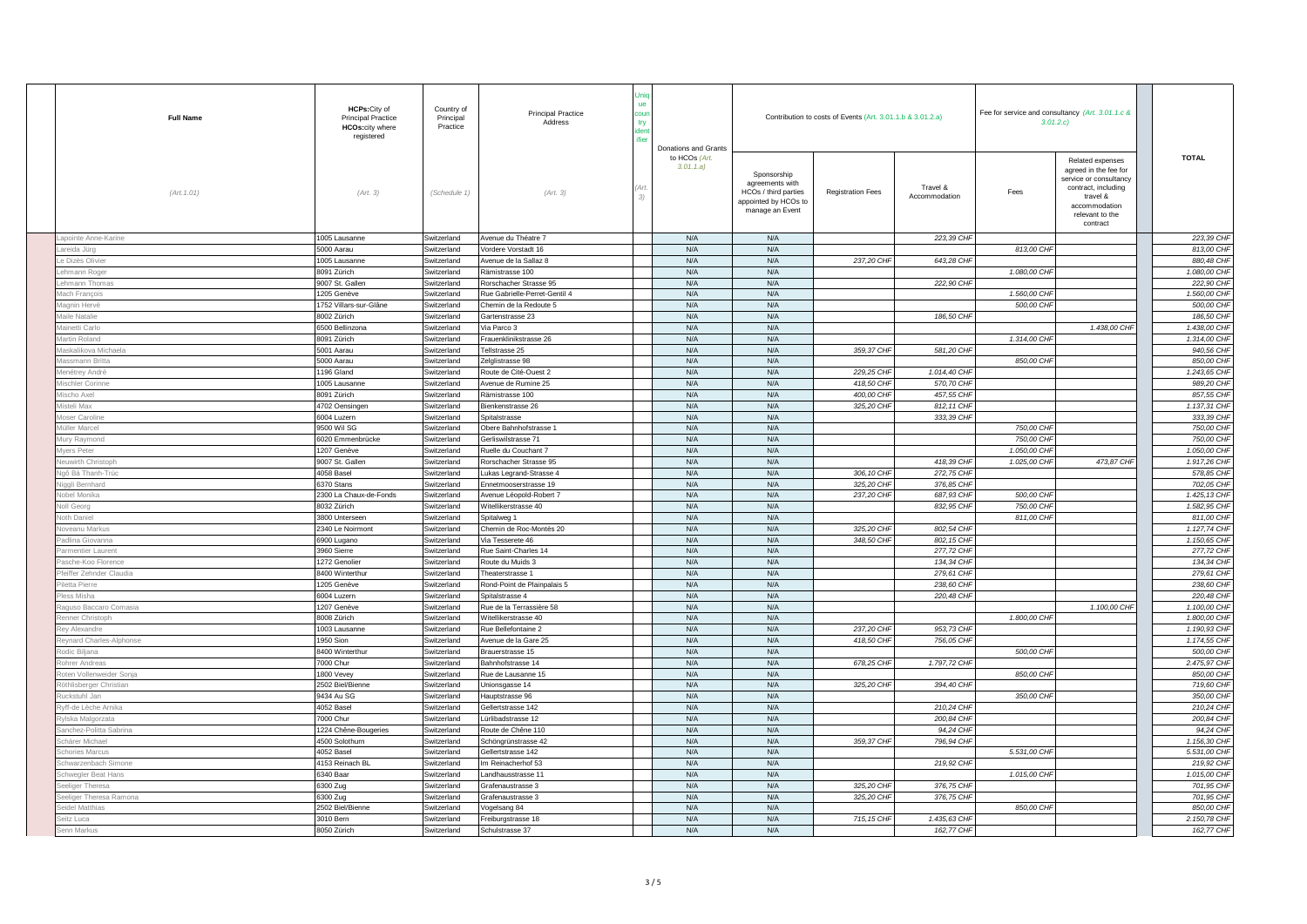| <b>Full Name</b>         | HCPs: City of<br><b>Principal Practice</b><br><b>HCOs:city where</b><br>registered | Country of<br>Principal<br>Practice | <b>Principal Practice</b><br>Address | ue<br>try | Donations and Grants       |                                                                                                   | Contribution to costs of Events (Art. 3.01.1.b & 3.01.2.a) |                           | Fee for service and consultancy (Art. 3.01.1.c &<br>3.01.2.c |                                                                                                                                                        |               |  |
|--------------------------|------------------------------------------------------------------------------------|-------------------------------------|--------------------------------------|-----------|----------------------------|---------------------------------------------------------------------------------------------------|------------------------------------------------------------|---------------------------|--------------------------------------------------------------|--------------------------------------------------------------------------------------------------------------------------------------------------------|---------------|--|
| (Art. 1.01)              | (Art. 3)                                                                           | (Schedule 1)                        | (Art. 3)                             |           | to HCOs (Art.<br>3.01.1.a) | Sponsorship<br>agreements with<br>HCOs / third parties<br>appointed by HCOs to<br>manage an Event | <b>Registration Fees</b>                                   | Travel &<br>Accommodation | Fees                                                         | Related expenses<br>agreed in the fee for<br>service or consultancy<br>contract, including<br>travel &<br>accommodation<br>relevant to the<br>contract | <b>TOTAL</b>  |  |
| apointe Anne-Karine      | 005 Lausanne                                                                       | Switzerland                         | Avenue du Théatre 7                  |           | N/A                        | N/A                                                                                               |                                                            | 223,39 CHF                |                                                              |                                                                                                                                                        | 223,39 CHF    |  |
| areida Jürg              | 5000 Aarau                                                                         | Switzerland                         | Vordere Vorstadt 16                  |           | N/A                        | N/A                                                                                               |                                                            |                           | 813,00 CHF                                                   |                                                                                                                                                        | 813,00 CHF    |  |
| <b>Dizès Olivier</b>     | 1005 Lausanne                                                                      | Switzerland                         | Avenue de la Sallaz 8                |           | N/A                        | N/A                                                                                               | 237,20 CHF                                                 | 643,28 CHF                |                                                              |                                                                                                                                                        | 880,48 CHF    |  |
| shmann Roge              | 8091 Zürich                                                                        | Switzerland                         | Rämistrasse 100                      |           | N/A                        | N/A                                                                                               |                                                            |                           | 1.080,00 CHF                                                 |                                                                                                                                                        | 1.080.00 CHF  |  |
| hmann Thoma              | 9007 St. Gallen                                                                    | Switzerland                         | Rorschacher Strasse 95               |           | N/A                        | N/A                                                                                               |                                                            | 222,90 CHF                |                                                              |                                                                                                                                                        | 222,90 CHF    |  |
| ach Francois             | 1205 Genève                                                                        | Switzerland                         | Rue Gabrielle-Perret-Gentil 4        |           | N/A                        | N/A                                                                                               |                                                            |                           | 1,560,00 CHF                                                 |                                                                                                                                                        | 1.560.00 CHF  |  |
| lagnin Hervé             | 1752 Villars-sur-Glâne                                                             | Switzerland                         | Chemin de la Redoute 5               |           | N/A                        | N/A                                                                                               |                                                            |                           | 500,00 CHF                                                   |                                                                                                                                                        | 500,00 CHF    |  |
| laile Natalie            | 8002 Zürich                                                                        | Switzerland                         | Gartenstrasse 23                     |           | N/A                        | N/A                                                                                               |                                                            | 186,50 CHF                |                                                              |                                                                                                                                                        | 186,50 CHF    |  |
| fainetti Carlo           | 6500 Bellinzona                                                                    | Switzerland                         | Via Parco 3                          |           | N/A                        | N/A                                                                                               |                                                            |                           |                                                              | 1.438.00 CHF                                                                                                                                           | 1.438,00 CHF  |  |
| artin Roland             | 8091 Zürich                                                                        | Switzerland                         | Frauenklinikstrasse 26               |           | N/A                        | N/A                                                                                               |                                                            |                           | 1.314,00 CHI                                                 |                                                                                                                                                        | 1.314,00 CHF  |  |
| askalikova Michael       | 5001 Aarau                                                                         | Switzerland                         | Tellstrasse 25                       |           | N/A                        | N/A                                                                                               | 359,37 CHF                                                 | 581,20 CHF                |                                                              |                                                                                                                                                        | 940,56 CHF    |  |
| fassmann Britta          | 5000 Aarau                                                                         | Switzerland                         | Zelglistrasse 98                     |           | N/A                        | N/A                                                                                               |                                                            |                           | 850,00 CHF                                                   |                                                                                                                                                        | 850,00 CHF    |  |
| lenétrey André           | 1196 Gland                                                                         | Switzerland                         | Route de Cité-Ouest 2                |           | N/A                        | N/A                                                                                               | 229,25 CHF                                                 | 1.014,40 CHF              |                                                              |                                                                                                                                                        | 1.243,65 CHF  |  |
| schler Corinne           | 1005 Lausanne                                                                      | Switzerland                         | Avenue de Rumine 25                  |           | N/A                        | N/A                                                                                               | 418,50 CHF                                                 | 570,70 CHF                |                                                              |                                                                                                                                                        | 989,20 CHF    |  |
| cho Axel                 | 3091 Zürich                                                                        | Switzerland                         | Rämistrasse 100                      |           | N/A                        | N/A                                                                                               | 400,00 CHF                                                 | 457.55 CHF                |                                                              |                                                                                                                                                        | 857,55 CHF    |  |
| steli Max                | 4702 Oensingen                                                                     | Switzerland                         | Bienkenstrasse 26                    |           | N/A                        | N/A                                                                                               | 325,20 CHF                                                 | 812, 11 CHF               |                                                              |                                                                                                                                                        | 1.137.31 CHF  |  |
| foser Caroline           | 6004 Luzern                                                                        | Switzerland                         | Spitalstrasse                        |           | N/A                        | N/A                                                                                               |                                                            | 333,39 CHF                |                                                              |                                                                                                                                                        | 333,39 CHF    |  |
| lüller Marcel            | 9500 Wil SG                                                                        | Switzerland                         | Obere Bahnhofstrasse 1               |           | N/A                        | N/A                                                                                               |                                                            |                           | 750,00 CHF                                                   |                                                                                                                                                        | 750,00 CHF    |  |
| fury Raymond             | 6020 Emmenbrücke                                                                   | Switzerland                         | Gerliswilstrasse 71                  |           | N/A                        | N/A                                                                                               |                                                            |                           | 750,00 CHF                                                   |                                                                                                                                                        | 750,00 CHF    |  |
| lyers Peter              | 207 Genève                                                                         | Switzerland                         | Ruelle du Couchant 7                 |           | N/A                        | N/A                                                                                               |                                                            |                           | 1.050,00 CHI                                                 |                                                                                                                                                        | 1.050,00 CHF  |  |
| leuwirth Christoph       | 9007 St. Gallen                                                                    | Switzerland                         | Rorschacher Strasse 95               |           | N/A                        | N/A                                                                                               |                                                            | 418,39 CHF                | 1.025,00 CHF                                                 | 473,87 CHF                                                                                                                                             | 1.917,26 CHF  |  |
| lgô Bá Thanh-Trúc        | 4058 Basel                                                                         | Switzerland                         | Lukas Legrand-Strasse 4              |           | N/A                        | N/A                                                                                               | 306, 10 CHI                                                | 272,75 CHF                |                                                              |                                                                                                                                                        | 578,85 CHF    |  |
| liggli Bernhard          | 6370 Stans                                                                         | Switzerland                         | Ennetmooserstrasse 19                |           | N/A                        | N/A                                                                                               | 325,20 CH                                                  | 376,85 CHF                |                                                              |                                                                                                                                                        | 702,05 CHF    |  |
| <b>Vobel Monika</b>      | 2300 La Chaux-de-Fonds                                                             | Switzerland                         | Avenue Léopold-Robert 7              |           | N/A                        | N/A                                                                                               | 237,20 CHF                                                 | 687,93 CHF                | 500,00 CHF                                                   |                                                                                                                                                        | 1.425, 13 CHF |  |
| <b>Joll Georg</b>        | 032 Zürich                                                                         | Switzerland                         | Nitellikerstrasse 40                 |           | N/A                        | N/A                                                                                               |                                                            | 832,95 CHF                | 750,00 CHF                                                   |                                                                                                                                                        | 1.582,95 CHF  |  |
| <b>Voth Daniel</b>       | 3800 Unterseen                                                                     | Switzerland                         | Spitalweg 1                          |           | N/A                        | N/A                                                                                               |                                                            |                           | 811,00 CHF                                                   |                                                                                                                                                        | 811,00 CHF    |  |
| oveanu Markus            | 2340 Le Noirmont                                                                   | Switzerland                         | Chemin de Roc-Montès 20              |           | N/A                        | N/A                                                                                               | 325,20 CHF                                                 | 802,54 CHF                |                                                              |                                                                                                                                                        | 1.127,74 CHF  |  |
| adlina Giovanna          | 6900 Lugano                                                                        | Switzerland                         | Via Tesserete 46                     |           | N/A                        | N/A                                                                                               | 348,50 CH                                                  | 802, 15 CHF               |                                                              |                                                                                                                                                        | 1.150,65 CHF  |  |
| armentier Lauren         | 3960 Sierre                                                                        | Switzerland                         | Rue Saint-Charles 14                 |           | N/A                        | N/A                                                                                               |                                                            | 277,72 CHF                |                                                              |                                                                                                                                                        | 277,72 CHF    |  |
| asche-Koo Florence       | 1272 Genolier                                                                      | Switzerland                         | Route du Muids 3                     |           | N/A                        | N/A                                                                                               |                                                            | 134,34 CHF                |                                                              |                                                                                                                                                        | 134,34 CHF    |  |
| feiffer Zehnder Claudia  | 8400 Winterthur                                                                    | Switzerland                         | Theaterstrasse 1                     |           | N/A                        | N/A                                                                                               |                                                            | 279,61 CHF                |                                                              |                                                                                                                                                        | 279,61 CHF    |  |
| letta Pierre             | 1205 Genève                                                                        | Switzerland                         | Rond-Point de Plainpalais 5          |           | N/A                        | N/A                                                                                               |                                                            | 238,60 CHF                |                                                              |                                                                                                                                                        | 238,60 CHF    |  |
| less Misha               | 6004 Luzern                                                                        | Switzerland                         | Spitalstrasse 4                      |           | N/A                        | N/A                                                                                               |                                                            | 220,48 CHF                |                                                              |                                                                                                                                                        | 220.48 CHF    |  |
| quso Baccaro Comasia     | 1207 Genève                                                                        | Switzerland                         | Rue de la Terrassière 58             |           | N/A                        | N/A                                                                                               |                                                            |                           |                                                              | 1.100,00 CHF                                                                                                                                           | 1.100,00 CHF  |  |
| enner Christoph          | 8008 Zürich                                                                        | Switzerland                         | Witellikerstrasse 40                 |           | N/A                        | N/A                                                                                               |                                                            |                           | 1.800,00 CHI                                                 |                                                                                                                                                        | 1,800,00 CHF  |  |
| tey Alexandre            | 1003 Lausanne                                                                      | Switzerland                         | Rue Bellefontaine 2                  |           | N/A                        | N/A                                                                                               | 237,20 CHF                                                 | 953,73 CHF                |                                                              |                                                                                                                                                        | 1.190,93 CHF  |  |
| eynard Charles-Alphonse  | 1950 Sion                                                                          | Switzerland                         | Avenue de la Gare 25                 |           | N/A                        | N/A                                                                                               | 418,50 CHF                                                 | 756,05 CHF                |                                                              |                                                                                                                                                        | 1.174,55 CHF  |  |
| odic Biljana             | 8400 Winterthur                                                                    | Switzerland                         | Brauerstrasse 15                     |           | N/A                        | N/A                                                                                               |                                                            |                           | 500,00 CHP                                                   |                                                                                                                                                        | 500,00 CHF    |  |
| ohrer Andreas            | 7000 Chur                                                                          | Switzerland                         | Bahnhofstrasse 14                    |           | N/A                        | N/A                                                                                               | 678,25 CHF                                                 | 1.797,72 CHF              |                                                              |                                                                                                                                                        | 2.475,97 CHF  |  |
| toten Vollenweider Sonja | 1800 Vevey                                                                         | Switzerland                         | Rue de Lausanne 15                   |           | N/A                        | N/A                                                                                               |                                                            |                           | 850,00 CHF                                                   |                                                                                                                                                        | 850,00 CHF    |  |
| öthlisberger Christian   | 2502 Biel/Bienne                                                                   | Switzerland                         | Unionsgasse 14                       |           | N/A                        | N/A                                                                                               | 325,20 CHI                                                 | 394,40 CHF                |                                                              |                                                                                                                                                        | 719,60 CHF    |  |
| uckstuhl Jan             | 9434 Au SG                                                                         | Switzerland                         | Hauptstrasse 96                      |           | N/A                        | N/A                                                                                               |                                                            |                           | 350,00 CHF                                                   |                                                                                                                                                        | 350,00 CHF    |  |
| yff-de Lèche Arnika      | 4052 Basel                                                                         | Switzerland                         | Gellertstrasse 142                   |           | N/A                        | N/A                                                                                               |                                                            | 210,24 CHF                |                                                              |                                                                                                                                                        | 210,24 CHF    |  |
| ska Malgorzata           | '000 Chur                                                                          | Switzerland                         | ürlibadstrasse 12                    |           | N/A                        | N/A                                                                                               |                                                            | 200.84 CHF                |                                                              |                                                                                                                                                        | 200,84 CHF    |  |
| anchez-Politta Sabrina   | 1224 Chêne-Bougeries                                                               | Switzerland                         | Route de Chêne 110                   |           | N/A                        | N/A                                                                                               |                                                            | 94,24 CHF                 |                                                              |                                                                                                                                                        | 94,24 CHF     |  |
| chärer Michael           | 4500 Solothurn                                                                     | Switzerland                         | Schöngrünstrasse 42                  |           | N/A                        | N/A                                                                                               | 359,37 CHI                                                 | 796,94 CHF                |                                                              |                                                                                                                                                        | 1.156,30 CHF  |  |
| chories Marcus           | 4052 Basel                                                                         | Switzerland                         | Gellertstrasse 142                   |           | N/A                        | N/A                                                                                               |                                                            |                           | 5.531,00 CHI                                                 |                                                                                                                                                        | 5.531,00 CHF  |  |
| ichwarzenbach Simone     | 4153 Reinach BL                                                                    | Switzerland                         | Im Reinacherhof 53                   |           | N/A                        | N/A                                                                                               |                                                            | 219,92 CHF                |                                                              |                                                                                                                                                        | 219,92 CHF    |  |
| hwegler Beat Hans        | 340 Baar                                                                           | Switzerland                         | andhausstrasse 11                    |           | N/A                        | N/A                                                                                               |                                                            |                           | 1.015,00 CHF                                                 |                                                                                                                                                        | 1.015,00 CHF  |  |
| eliger Theresa           | 6300 Zug                                                                           | Switzerland                         | Grafenaustrasse 3                    |           | N/A                        | N/A                                                                                               | 325,20 CHF                                                 | 376,75 CHF                |                                                              |                                                                                                                                                        | 701,95 CHF    |  |
| eliger Theresa Ramona    | 6300 Zug                                                                           | Switzerland                         | Grafenaustrasse 3                    |           | N/A                        | N/A                                                                                               | 325,20 CHF                                                 | 376,75 CHF                |                                                              |                                                                                                                                                        | 701,95 CHF    |  |
| eidel Matthias           | 2502 Biel/Bienne                                                                   | Switzerland                         | Vogelsang 84                         |           | N/A                        | N/A                                                                                               |                                                            |                           | 850.00 CHI                                                   |                                                                                                                                                        | 850.00 CHF    |  |
| eitz Luca                | 3010 Bern                                                                          | Switzerland                         | Freiburgstrasse 18                   |           | N/A                        | N/A                                                                                               | 715, 15 CHF                                                | 1.435,63 CHF              |                                                              |                                                                                                                                                        | 2.150,78 CHF  |  |
| enn Markus               | 8050 Zürich                                                                        | Switzerland                         | Schulstrasse 37                      |           | N/A                        | N/A                                                                                               |                                                            | 162,77 CHF                |                                                              |                                                                                                                                                        | 162,77 CHF    |  |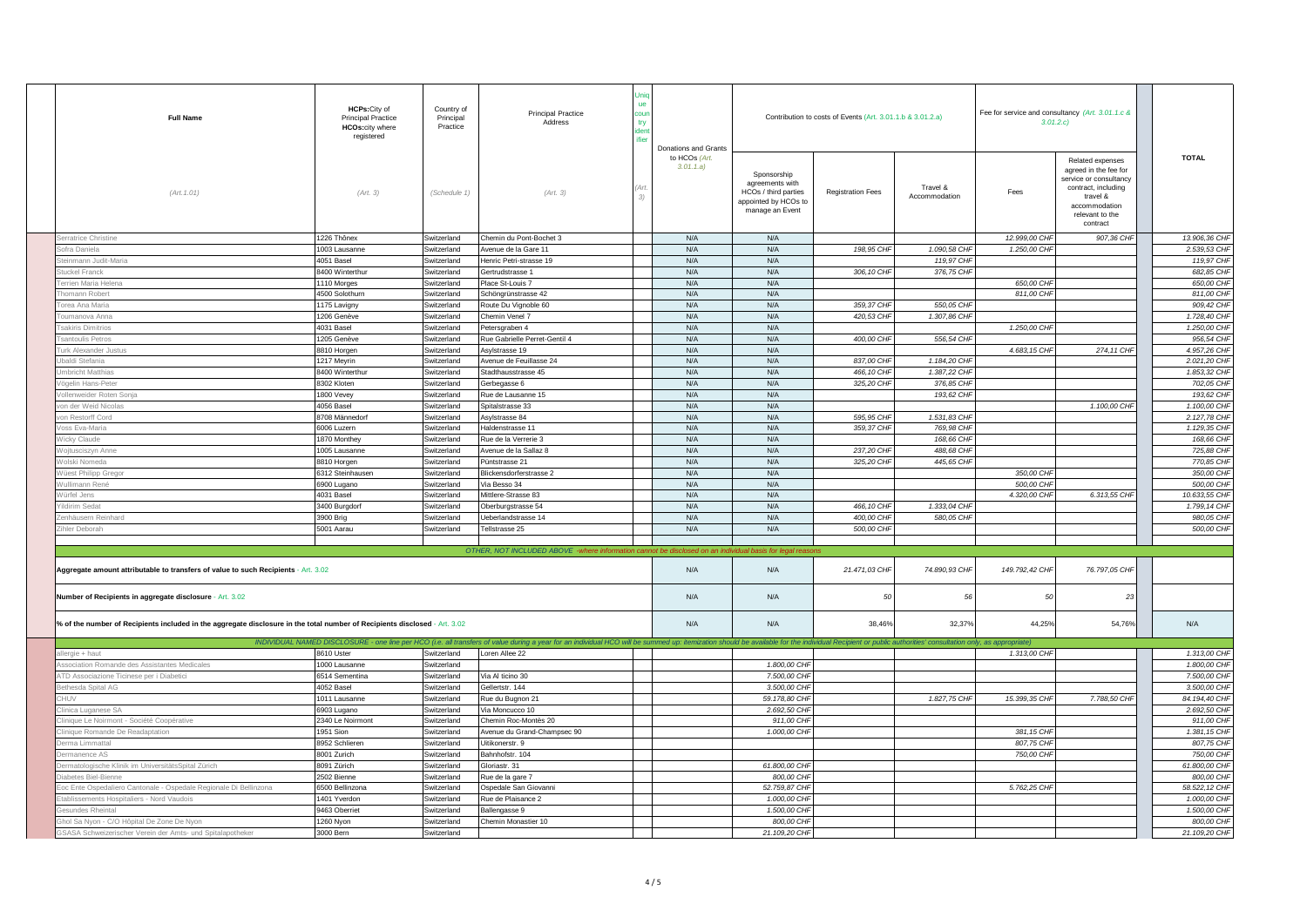| <b>Full Name</b>                                                                                                           | HCPs: City of<br><b>Principal Practice</b><br><b>HCOs:city where</b><br>registered | Country of<br>Principal<br>Practice | <b>Principal Practice</b><br>Address                                                                                                                                                  | <b>ue</b><br>cour<br>try | <b>Donations and Grants</b> |                                                                                                   | Contribution to costs of Events (Art. 3.01.1.b & 3.01.2.a) |                           |                | Fee for service and consultancy (Art. 3.01.1.c &<br>3.01.2.c                                                                                           |  |                |
|----------------------------------------------------------------------------------------------------------------------------|------------------------------------------------------------------------------------|-------------------------------------|---------------------------------------------------------------------------------------------------------------------------------------------------------------------------------------|--------------------------|-----------------------------|---------------------------------------------------------------------------------------------------|------------------------------------------------------------|---------------------------|----------------|--------------------------------------------------------------------------------------------------------------------------------------------------------|--|----------------|
| (Art. 1.01)                                                                                                                | (Art. 3)                                                                           | (Schedule 1)                        | (Art. 3)                                                                                                                                                                              | 3 <sup>1</sup>           | to HCOs (Art.<br>3.01.1.a)  | Sponsorship<br>agreements with<br>HCOs / third parties<br>appointed by HCOs to<br>manage an Event | <b>Registration Fees</b>                                   | Travel &<br>Accommodation | Fees           | Related expenses<br>agreed in the fee for<br>service or consultancy<br>contract, including<br>travel &<br>accommodation<br>relevant to the<br>contract |  | <b>TOTAL</b>   |
| erratrice Christine                                                                                                        | 1226 Thônex                                                                        | Switzerland                         | Chemin du Pont-Bochet 3                                                                                                                                                               |                          | N/A                         | N/A                                                                                               |                                                            |                           | 12.999,00 CHI  | 907,36 CHF                                                                                                                                             |  | 13.906,36 CHF  |
| ofra Daniela                                                                                                               | 1003 Lausanne                                                                      | Switzerland                         | Avenue de la Gare 11                                                                                                                                                                  |                          | N/A                         | N/A                                                                                               | 198,95 CHF                                                 | 1.090,58 CHF              | 1.250,00 CHF   |                                                                                                                                                        |  | 2.539,53 CHF   |
| einmann Judit-Maria                                                                                                        | 4051 Basel                                                                         | Switzerland                         | Henric Petri-strasse 19                                                                                                                                                               |                          | N/A                         | N/A                                                                                               |                                                            | 119,97 CHF                |                |                                                                                                                                                        |  | 119,97 CHF     |
| uckel Franck                                                                                                               | 8400 Winterthur                                                                    | Switzerland                         | Gertrudstrasse 1                                                                                                                                                                      |                          | N/A                         | N/A                                                                                               | 306, 10 CHI                                                | 376,75 CHI                |                |                                                                                                                                                        |  | 682.85 CHF     |
| errien Maria Helena                                                                                                        | 1110 Morges                                                                        | Switzerland                         | Place St-Louis 7                                                                                                                                                                      |                          | N/A                         | N/A                                                                                               |                                                            |                           | 650,00 CHF     |                                                                                                                                                        |  | 650,00 CHF     |
| homann Robert                                                                                                              | 4500 Solothurn                                                                     | Switzerland                         | Schöngrünstrasse 42                                                                                                                                                                   |                          | N/A                         | N/A                                                                                               |                                                            |                           | 811,00 CHF     |                                                                                                                                                        |  | 811.00 CHF     |
| orea Ana Maria                                                                                                             | 1175 Lavigny                                                                       | Switzerland                         | Route Du Vignoble 60                                                                                                                                                                  |                          | N/A                         | N/A                                                                                               | 359.37 CHF                                                 | 550,05 CHF                |                |                                                                                                                                                        |  | 909,42 CHF     |
| oumanova Anna                                                                                                              | 1206 Genève                                                                        | Switzerland                         | Chemin Venel 7                                                                                                                                                                        |                          | N/A                         | N/A                                                                                               | 420,53 CHF                                                 | 1.307,86 CHI              |                |                                                                                                                                                        |  | 1.728,40 CHF   |
| sakiris Dimitrios                                                                                                          | 4031 Basel                                                                         | Switzerland                         | Petersgraben 4                                                                                                                                                                        |                          | N/A                         | N/A                                                                                               |                                                            |                           | 1.250,00 CHI   |                                                                                                                                                        |  | 1.250,00 CHF   |
| santoulis Petros                                                                                                           | 1205 Genève                                                                        | Switzerland                         | Rue Gabrielle Perret-Gentil 4                                                                                                                                                         |                          | N/A                         | N/A                                                                                               | 400,00 CHF                                                 | 556,54 CHF                |                |                                                                                                                                                        |  | 956,54 CHF     |
| urk Alexander Justus                                                                                                       | 8810 Horgen                                                                        | Switzerland                         | Asylstrasse 19                                                                                                                                                                        |                          | N/A                         | N/A                                                                                               |                                                            |                           | 4.683, 15 CHI  | 274, 11 CHF                                                                                                                                            |  | 4.957.26 CHF   |
| baldi Stefania                                                                                                             | 1217 Meyrin                                                                        | Switzerland                         | Avenue de Feuillasse 24                                                                                                                                                               |                          | N/A                         | N/A                                                                                               | 837,00 CHF                                                 | 1.184,20 CHF              |                |                                                                                                                                                        |  | 2.021,20 CHF   |
| mbricht Matthias                                                                                                           | 8400 Winterthur                                                                    | Switzerland                         | Stadthausstrasse 45                                                                                                                                                                   |                          | N/A                         | N/A                                                                                               | 466,10 CHF                                                 | 1.387,22 CHF              |                |                                                                                                                                                        |  | 1.853,32 CHF   |
| ögelin Hans-Peter                                                                                                          | 8302 Kloten                                                                        | Switzerland                         | Gerbegasse 6                                                                                                                                                                          |                          | N/A                         | N/A                                                                                               | 325,20 CHF                                                 | 376,85 CHF                |                |                                                                                                                                                        |  | 702.05 CHF     |
| nweider Roten Sonja                                                                                                        | 1800 Vevey                                                                         | Switzerland                         | Rue de Lausanne 15                                                                                                                                                                    |                          | N/A                         | N/A                                                                                               |                                                            | 193,62 CHF                |                |                                                                                                                                                        |  | 193.62 CHF     |
| on der Weid Nicolas                                                                                                        | 4056 Basel                                                                         | Switzerland                         | Spitalstrasse 33                                                                                                                                                                      |                          | N/A                         | N/A                                                                                               |                                                            |                           |                | 1.100,00 CHF                                                                                                                                           |  | 1,100,00 CHF   |
| on Restorff Cord                                                                                                           | 8708 Männedorf                                                                     | Switzerland                         | Asylstrasse 84                                                                                                                                                                        |                          | N/A                         | N/A                                                                                               | 595,95 CHF                                                 | 1.531,83 CHF              |                |                                                                                                                                                        |  | 2.127,78 CHF   |
| oss Eva-Maria                                                                                                              | 6006 Luzern                                                                        | Switzerland                         | Haldenstrasse 11                                                                                                                                                                      |                          | N/A                         | N/A                                                                                               | 359,37 CHF                                                 | 769,98 CHI                |                |                                                                                                                                                        |  | 1.129,35 CHF   |
| /icky Claude                                                                                                               | 1870 Monthey                                                                       | Switzerland                         | Rue de la Verrerie 3                                                                                                                                                                  |                          | N/A                         | N/A                                                                                               |                                                            | 168,66 CHI                |                |                                                                                                                                                        |  | 168,66 CHF     |
| ojtusciszyn Anne                                                                                                           | 1005 Lausanne                                                                      | Switzerland                         | Avenue de la Sallaz 8                                                                                                                                                                 |                          | N/A                         | N/A                                                                                               | 237,20 CHF                                                 | 488,68 CHI                |                |                                                                                                                                                        |  | 725,88 CHF     |
| /olski Nomeda                                                                                                              | 8810 Horgen                                                                        | Switzerland                         | Püntstrasse 21                                                                                                                                                                        |                          | N/A                         | N/A                                                                                               | 325,20 CHF                                                 | 445,65 CHF                |                |                                                                                                                                                        |  | 770,85 CHF     |
| /üest Philipp Gregor                                                                                                       | 6312 Steinhausen                                                                   | Switzerland                         | Blickensdorferstrasse 2                                                                                                                                                               |                          | N/A                         | N/A                                                                                               |                                                            |                           | 350,00 CHI     |                                                                                                                                                        |  | 350,00 CHF     |
| /ullimann René                                                                                                             | 6900 Lugano                                                                        | Switzerland                         | Via Besso 34                                                                                                                                                                          |                          | N/A                         | N/A                                                                                               |                                                            |                           | 500,00 CHI     |                                                                                                                                                        |  | 500,00 CHF     |
| Vürfel Jens                                                                                                                | 4031 Basel                                                                         | Switzerland                         | Mittlere-Strasse 83                                                                                                                                                                   |                          | N/A                         | N/A                                                                                               |                                                            |                           | 4.320,00 CHF   | 6.313,55 CHF                                                                                                                                           |  | 10.633,55 CHF  |
| Idirim Sedat                                                                                                               | 3400 Burgdorf                                                                      | Switzerland                         | Oberburgstrasse 54                                                                                                                                                                    |                          | N/A                         | N/A                                                                                               | 466,10 CHF                                                 | 1.333,04 CHF              |                |                                                                                                                                                        |  | 1.799, 14 CHF  |
| enhäusern Reinhard                                                                                                         | 3900 Brig                                                                          | Switzerland                         | Ueberlandstrasse 14                                                                                                                                                                   |                          | N/A                         | N/A                                                                                               | 400.00 CHF                                                 | 580,05 CHF                |                |                                                                                                                                                        |  | 980.05 CHF     |
| ihler Deborah                                                                                                              | 5001 Aarau                                                                         | Switzerland                         | Fellstrasse 25                                                                                                                                                                        |                          | N/A                         | N/A                                                                                               | 500,00 CHF                                                 |                           |                |                                                                                                                                                        |  | 500,00 CHF     |
|                                                                                                                            |                                                                                    |                                     |                                                                                                                                                                                       |                          |                             |                                                                                                   |                                                            |                           |                |                                                                                                                                                        |  |                |
|                                                                                                                            |                                                                                    |                                     | OTHER, NOT INCLUDED ABOVE -where information cannot be disclosed on an ind                                                                                                            |                          |                             | asis for legal                                                                                    |                                                            |                           |                |                                                                                                                                                        |  |                |
| Aggregate amount attributable to transfers of value to such Recipients - Art. 3.02                                         |                                                                                    |                                     |                                                                                                                                                                                       |                          | N/A                         | N/A                                                                                               | 21.471,03 CHF                                              | 74.890,93 CHF             | 149.792,42 CHF | 76.797,05 CHF                                                                                                                                          |  |                |
| Number of Recipients in aggregate disclosure - Art. 3.02                                                                   |                                                                                    |                                     |                                                                                                                                                                                       |                          | N/A                         | N/A                                                                                               | 50                                                         | 56                        | 50             | 23                                                                                                                                                     |  |                |
| % of the number of Recipients included in the aggregate disclosure in the total number of Recipients disclosed - Art. 3.02 |                                                                                    |                                     |                                                                                                                                                                                       |                          | N/A                         | N/A                                                                                               | 38.46%                                                     | 32,37%                    | 44.25%         | 54,76%                                                                                                                                                 |  | N/A            |
|                                                                                                                            | INDIVIDUAL NAMED DISCLOSURE - one line per HCO (i.e. all tran                      |                                     | ers of value during a year for an individual HCO will be summed up: itemization should be available for the individual Recipient or public authorities' consultation only, as appropr |                          |                             |                                                                                                   |                                                            |                           |                |                                                                                                                                                        |  |                |
| ergie + haut                                                                                                               | 8610 Uster                                                                         | Switzerland                         | Loren Allee 22                                                                                                                                                                        |                          |                             |                                                                                                   |                                                            |                           | 1.313,00 CHF   |                                                                                                                                                        |  | 1.313,00 CHF   |
| ssociation Romande des Assistantes Medicales                                                                               | 1000 Lausanne                                                                      | Switzerland                         |                                                                                                                                                                                       |                          |                             | 1.800,00 CHF                                                                                      |                                                            |                           |                |                                                                                                                                                        |  | 1.800,00 CHF   |
| TD Associazione Ticinese per i Diabetici                                                                                   | 6514 Sementina                                                                     | Switzerland                         | Via Al ticino 30                                                                                                                                                                      |                          |                             | 7,500,00 CHF                                                                                      |                                                            |                           |                |                                                                                                                                                        |  | 7,500,00 CHF   |
| thesda Spital AG                                                                                                           | 4052 Basel                                                                         | Switzerland                         | Gellertstr. 144                                                                                                                                                                       |                          |                             | 3.500,00 CHF                                                                                      |                                                            |                           |                |                                                                                                                                                        |  | 3.500,00 CHF   |
|                                                                                                                            | 1011 Lausanne                                                                      | Switzerland                         | Rue du Bugnon 21                                                                                                                                                                      |                          |                             | 59.178,80 CHF                                                                                     |                                                            | 1.827,75 CHF              | 15,399,35 CHF  | 7.788,50 CHF                                                                                                                                           |  | 84.194,40 CHF  |
| inica Luganese SA                                                                                                          | 6903 Lugano                                                                        | Switzerland                         | Via Moncucco 10                                                                                                                                                                       |                          |                             | 2.692,50 CHF                                                                                      |                                                            |                           |                |                                                                                                                                                        |  | 2.692,50 CHF   |
| inique Le Noirmont - Société Coopérative                                                                                   | 2340 Le Noirmont                                                                   | Switzerland                         | Chemin Roc-Montès 20                                                                                                                                                                  |                          |                             | 911,00 CHF                                                                                        |                                                            |                           |                |                                                                                                                                                        |  | 911,00 CHF     |
| inique Romande De Readaptation                                                                                             | 1951 Sion                                                                          | Switzerland                         | Avenue du Grand-Champsec 90                                                                                                                                                           |                          |                             | 1.000,00 CHF                                                                                      |                                                            |                           | 381, 15 CHF    |                                                                                                                                                        |  | 1.381, 15 CHF  |
| erma Limmattal                                                                                                             | 8952 Schlieren                                                                     | Switzerland                         | Uitikonerstr. 9                                                                                                                                                                       |                          |                             |                                                                                                   |                                                            |                           | 807,75 CHF     |                                                                                                                                                        |  | 807,75 CHF     |
| manence AS                                                                                                                 | 8001 Zurich                                                                        | Switzerland                         | Bahnhofstr. 104                                                                                                                                                                       |                          |                             |                                                                                                   |                                                            |                           | 750,00 CHF     |                                                                                                                                                        |  | 750,00 CHF     |
| ermatologische Klinik im UniversitätsSpital Zürich                                                                         | 8091 Zürich                                                                        | Switzerland                         | Gloriastr. 31                                                                                                                                                                         |                          |                             | 61.800,00 CHF                                                                                     |                                                            |                           |                |                                                                                                                                                        |  | 61.800,00 CHF  |
| abetes Biel-Bienne                                                                                                         | 2502 Bienne                                                                        | Switzerland                         | Rue de la gare 7                                                                                                                                                                      |                          |                             | 800,00 CHF                                                                                        |                                                            |                           |                |                                                                                                                                                        |  | 800,00 CHF     |
| oc Ente Ospedaliero Cantonale - Ospedale Regionale Di Bellinzona                                                           | 6500 Bellinzona                                                                    | Switzerland                         | Ospedale San Giovanni                                                                                                                                                                 |                          |                             | 52.759,87 CHF                                                                                     |                                                            |                           | 5.762,25 CHI   |                                                                                                                                                        |  | 58.522, 12 CHF |
| ablissements Hospitaliers - Nord Vaudois                                                                                   | 1401 Yverdon                                                                       | Switzerland                         | Rue de Plaisance 2                                                                                                                                                                    |                          |                             | 1.000,00 CHF                                                                                      |                                                            |                           |                |                                                                                                                                                        |  | 1.000,00 CHF   |
| sundes Rheintal                                                                                                            | 3463 Oberriet                                                                      | Switzerland                         | Ballengasse 9                                                                                                                                                                         |                          |                             | 1.500,00 CHF                                                                                      |                                                            |                           |                |                                                                                                                                                        |  | 1.500,00 CHF   |
| hol Sa Nyon - C/O Hôpital De Zone De Nyon                                                                                  | 1260 Nyon                                                                          | Switzerland                         | Chemin Monastier 10                                                                                                                                                                   |                          |                             | 800.00 CHI                                                                                        |                                                            |                           |                |                                                                                                                                                        |  | 800.00 CHF     |
|                                                                                                                            |                                                                                    |                                     |                                                                                                                                                                                       |                          |                             |                                                                                                   |                                                            |                           |                |                                                                                                                                                        |  |                |
| SASA Schweizerischer Verein der Amts- und Spitalapotheker                                                                  | 3000 Bern                                                                          | Switzerland                         |                                                                                                                                                                                       |                          |                             | 21.109,20 CHF                                                                                     |                                                            |                           |                |                                                                                                                                                        |  | 21.109,20 CHF  |